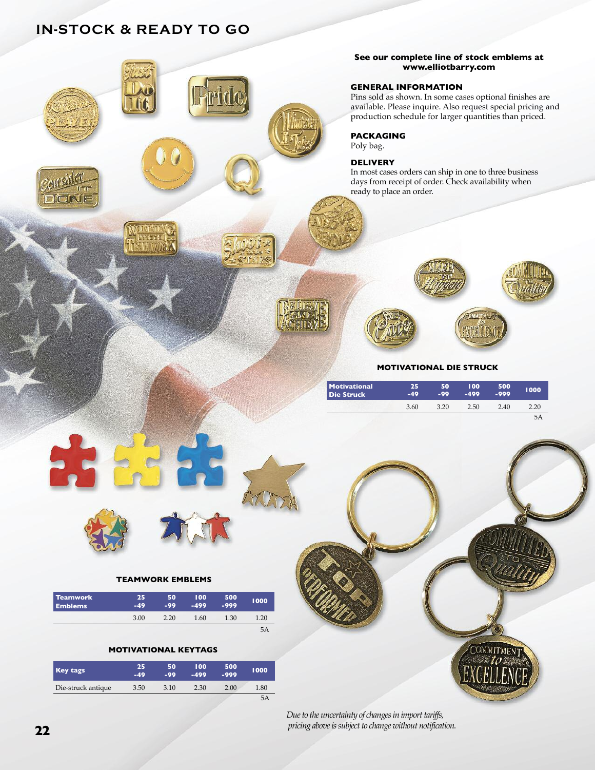## **iN-StocK & rEADY to Go**



*Due to the uncertainty of changes in import tariffs,*  $p$ *ricing above* is *subject* to *change without notification*.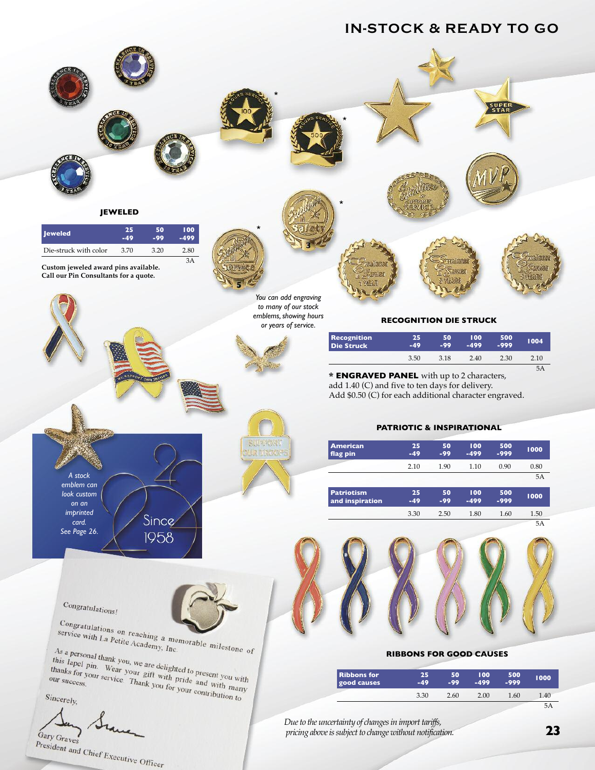## **iN-StocK & rEADY to Go**